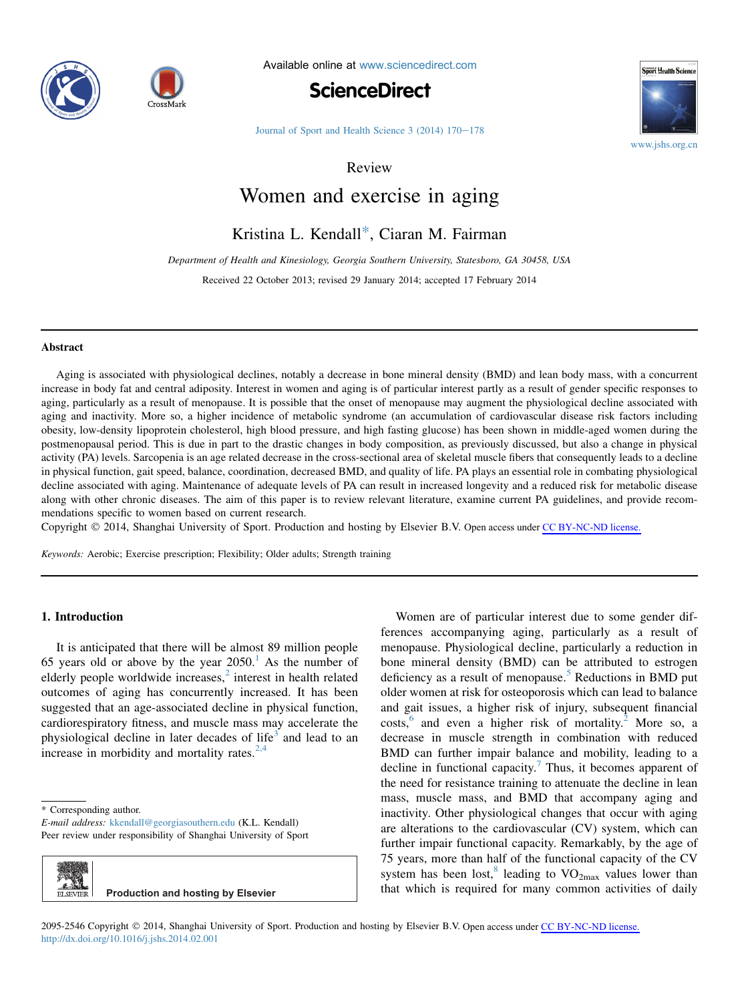



Available online at [www.sciencedirect.com](www.sciencedirect.com/science/journal/20952546)





Journal of Sport and Health Science  $3(2014) 170-178$  $3(2014) 170-178$ 

Review

# Women and exercise in aging

# Kristina L. Kendall\*, Ciaran M. Fairman

Department of Health and Kinesiology, Georgia Southern University, Statesboro, GA 30458, USA Received 22 October 2013; revised 29 January 2014; accepted 17 February 2014

#### Abstract

Aging is associated with physiological declines, notably a decrease in bone mineral density (BMD) and lean body mass, with a concurrent increase in body fat and central adiposity. Interest in women and aging is of particular interest partly as a result of gender specific responses to aging, particularly as a result of menopause. It is possible that the onset of menopause may augment the physiological decline associated with aging and inactivity. More so, a higher incidence of metabolic syndrome (an accumulation of cardiovascular disease risk factors including obesity, low-density lipoprotein cholesterol, high blood pressure, and high fasting glucose) has been shown in middle-aged women during the postmenopausal period. This is due in part to the drastic changes in body composition, as previously discussed, but also a change in physical activity (PA) levels. Sarcopenia is an age related decrease in the cross-sectional area of skeletal muscle fibers that consequently leads to a decline in physical function, gait speed, balance, coordination, decreased BMD, and quality of life. PA plays an essential role in combating physiological decline associated with aging. Maintenance of adequate levels of PA can result in increased longevity and a reduced risk for metabolic disease along with other chronic diseases. The aim of this paper is to review relevant literature, examine current PA guidelines, and provide recommendations specific to women based on current research.

Copyright © 2014, Shanghai University of Sport. Production and hosting by Elsevier B.V. Open access under [CC BY-NC-ND license.](http://creativecommons.org/licenses/by-nc-nd/4.0/)

Keywords: Aerobic; Exercise prescription; Flexibility; Older adults; Strength training

# 1. Introduction

It is anticipated that there will be almost 89 million people 65 years old or above by the year  $2050<sup>1</sup>$  $2050<sup>1</sup>$  $2050<sup>1</sup>$  As the number of elderly people worldwide increases,<sup>[2](#page-6-0)</sup> interest in health related outcomes of aging has concurrently increased. It has been suggested that an age-associated decline in physical function, cardiorespiratory fitness, and muscle mass may accelerate the physiological decline in later decades of life<sup>[3](#page-6-0)</sup> and lead to an increase in morbidity and mortality rates. $2,4$ 

E-mail address: [kkendall@georgiasouthern.edu](mailto:kkendall@georgiasouthern.edu) (K.L. Kendall) Peer review under responsibility of Shanghai University of Sport

| \$<br>ELSEVIER 1 | <b>Production and hosting by Elsevier</b> |
|------------------|-------------------------------------------|

Women are of particular interest due to some gender differences accompanying aging, particularly as a result of menopause. Physiological decline, particularly a reduction in bone mineral density (BMD) can be attributed to estrogen deficiency as a result of menopause.<sup>[5](#page-6-0)</sup> Reductions in BMD put older women at risk for osteoporosis which can lead to balance and gait issues, a higher risk of injury, subsequent financial  $costs$ , and even a higher risk of mortality.<sup>[2](#page-6-0)</sup> More so, a decrease in muscle strength in combination with reduced BMD can further impair balance and mobility, leading to a decline in functional capacity.<sup>7</sup> Thus, it becomes apparent of the need for resistance training to attenuate the decline in lean mass, muscle mass, and BMD that accompany aging and inactivity. Other physiological changes that occur with aging are alterations to the cardiovascular (CV) system, which can further impair functional capacity. Remarkably, by the age of 75 years, more than half of the functional capacity of the CV system has been lost,<sup>[8](#page-6-0)</sup> leading to  $VO_{2max}$  values lower than that which is required for many common activities of daily

2095-2546 Copyright © 2014, Shanghai University of Sport. Production and hosting by Elsevier B.V. Open access under [CC BY-NC-ND license.](http://creativecommons.org/licenses/by-nc-nd/4.0/) <http://dx.doi.org/10.1016/j.jshs.2014.02.001>

<sup>\*</sup> Corresponding author.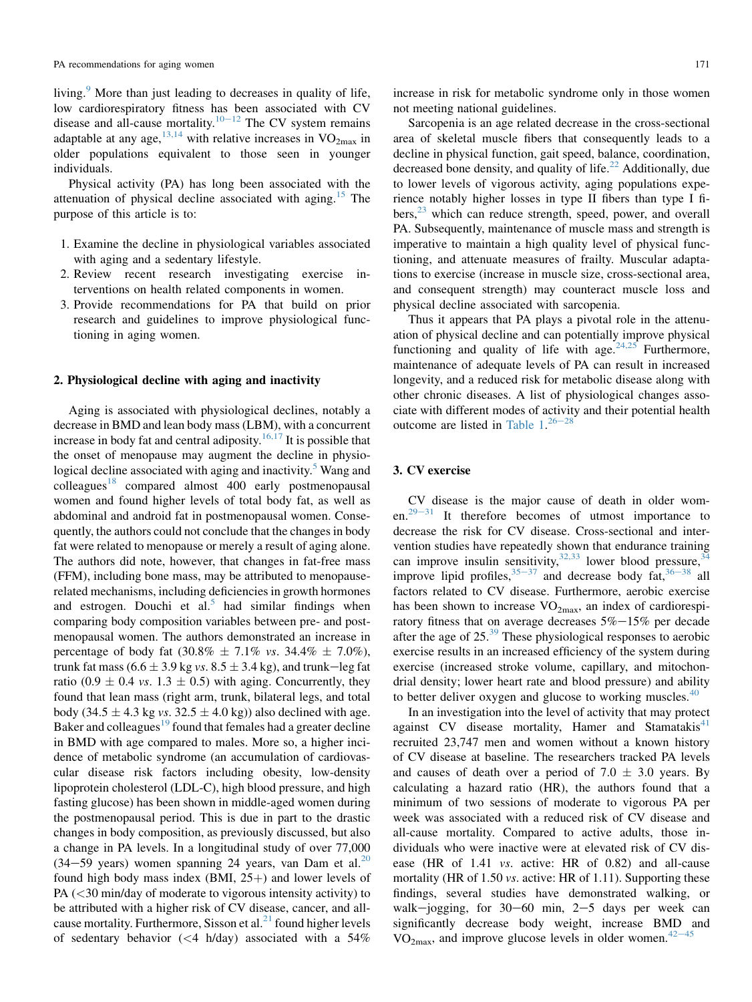living.<sup>[9](#page-6-0)</sup> More than just leading to decreases in quality of life, low cardiorespiratory fitness has been associated with CV disease and all-cause mortality.<sup>[10](#page-6-0)–[12](#page-6-0)</sup> The CV system remains adaptable at any age,  $13,14$  with relative increases in  $VO<sub>2max</sub>$ </sub> in older populations equivalent to those seen in younger individuals.

Physical activity (PA) has long been associated with the attenuation of physical decline associated with aging.[15](#page-6-0) The purpose of this article is to:

- 1. Examine the decline in physiological variables associated with aging and a sedentary lifestyle.
- 2. Review recent research investigating exercise interventions on health related components in women.
- 3. Provide recommendations for PA that build on prior research and guidelines to improve physiological functioning in aging women.

#### 2. Physiological decline with aging and inactivity

Aging is associated with physiological declines, notably a decrease in BMD and lean body mass (LBM), with a concurrent increase in body fat and central adiposity.<sup>[16,17](#page-6-0)</sup> It is possible that the onset of menopause may augment the decline in physiological decline associated with aging and inactivity. $\delta$  Wang and  $\text{colleages}^{18}$  $\text{colleages}^{18}$  $\text{colleages}^{18}$  compared almost 400 early postmenopausal women and found higher levels of total body fat, as well as abdominal and android fat in postmenopausal women. Consequently, the authors could not conclude that the changes in body fat were related to menopause or merely a result of aging alone. The authors did note, however, that changes in fat-free mass (FFM), including bone mass, may be attributed to menopauserelated mechanisms, including deficiencies in growth hormones and estrogen. Douchi et al.<sup>[5](#page-6-0)</sup> had similar findings when comparing body composition variables between pre- and postmenopausal women. The authors demonstrated an increase in percentage of body fat  $(30.8\% \pm 7.1\% \text{ vs. } 34.4\% \pm 7.0\%),$ trunk fat mass (6.6  $\pm$  3.9 kg vs. 8.5  $\pm$  3.4 kg), and trunk-leg fat ratio (0.9  $\pm$  0.4 *vs.* 1.3  $\pm$  0.5) with aging. Concurrently, they found that lean mass (right arm, trunk, bilateral legs, and total body (34.5  $\pm$  4.3 kg vs. 32.5  $\pm$  4.0 kg)) also declined with age. Baker and colleagues $19$  found that females had a greater decline in BMD with age compared to males. More so, a higher incidence of metabolic syndrome (an accumulation of cardiovascular disease risk factors including obesity, low-density lipoprotein cholesterol (LDL-C), high blood pressure, and high fasting glucose) has been shown in middle-aged women during the postmenopausal period. This is due in part to the drastic changes in body composition, as previously discussed, but also a change in PA levels. In a longitudinal study of over 77,000 (34–59 years) women spanning 24 years, van Dam et al.<sup>[20](#page-6-0)</sup> found high body mass index (BMI,  $25+$ ) and lower levels of PA (<30 min/day of moderate to vigorous intensity activity) to be attributed with a higher risk of CV disease, cancer, and allcause mortality. Furthermore, Sisson et al. $^{21}$  $^{21}$  $^{21}$  found higher levels of sedentary behavior (<4 h/day) associated with a 54%

increase in risk for metabolic syndrome only in those women not meeting national guidelines.

Sarcopenia is an age related decrease in the cross-sectional area of skeletal muscle fibers that consequently leads to a decline in physical function, gait speed, balance, coordination, decreased bone density, and quality of life.<sup>[22](#page-6-0)</sup> Additionally, due to lower levels of vigorous activity, aging populations experience notably higher losses in type II fibers than type I fi $bers$ <sup>[23](#page-6-0)</sup> which can reduce strength, speed, power, and overall PA. Subsequently, maintenance of muscle mass and strength is imperative to maintain a high quality level of physical functioning, and attenuate measures of frailty. Muscular adaptations to exercise (increase in muscle size, cross-sectional area, and consequent strength) may counteract muscle loss and physical decline associated with sarcopenia.

Thus it appears that PA plays a pivotal role in the attenuation of physical decline and can potentially improve physical functioning and quality of life with age.  $24.25$  Furthermore, maintenance of adequate levels of PA can result in increased longevity, and a reduced risk for metabolic disease along with other chronic diseases. A list of physiological changes associate with different modes of activity and their potential health outcome are listed in Table  $1.^{26-28}$  $1.^{26-28}$  $1.^{26-28}$  $1.^{26-28}$  $1.^{26-28}$ 

# 3. CV exercise

CV disease is the major cause of death in older women. $29-31$  $29-31$  $29-31$  It therefore becomes of utmost importance to decrease the risk for CV disease. Cross-sectional and intervention studies have repeatedly shown that endurance training can improve insulin sensitivity,  $32,33$  lower blood pressure,  $34$ improve lipid profiles,  $35-37$  $35-37$  $35-37$  and decrease body fat,  $36-38$  $36-38$  $36-38$  all factors related to CV disease. Furthermore, aerobic exercise has been shown to increase  $VO<sub>2max</sub>$ , an index of cardiorespiratory fitness that on average decreases  $5\% - 15\%$  per decade after the age of  $25.^{39}$  $25.^{39}$  $25.^{39}$  These physiological responses to aerobic exercise results in an increased efficiency of the system during exercise (increased stroke volume, capillary, and mitochondrial density; lower heart rate and blood pressure) and ability to better deliver oxygen and glucose to working muscles.<sup>[40](#page-7-0)</sup>

In an investigation into the level of activity that may protect against  $CV$  disease mortality, Hamer and Stamatakis<sup>[41](#page-7-0)</sup> recruited 23,747 men and women without a known history of CV disease at baseline. The researchers tracked PA levels and causes of death over a period of 7.0  $\pm$  3.0 years. By calculating a hazard ratio (HR), the authors found that a minimum of two sessions of moderate to vigorous PA per week was associated with a reduced risk of CV disease and all-cause mortality. Compared to active adults, those individuals who were inactive were at elevated risk of CV disease (HR of 1.41 vs. active: HR of 0.82) and all-cause mortality (HR of 1.50 *vs.* active: HR of 1.11). Supporting these findings, several studies have demonstrated walking, or walk-jogging, for  $30-60$  min,  $2-5$  days per week can significantly decrease body weight, increase BMD and  $VO<sub>2max</sub>$ , and improve glucose levels in older women.<sup>[42](#page-7-0)-[45](#page-7-0)</sup>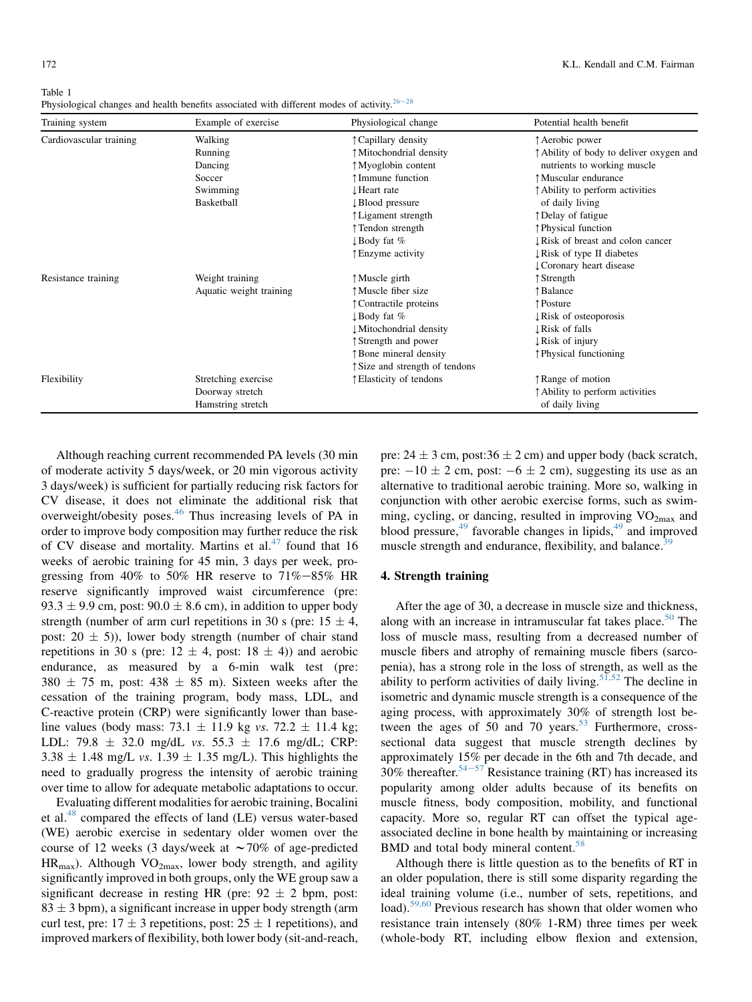<span id="page-2-0"></span>

| Training system         | Example of exercise     | Physiological change           | Potential health benefit                 |
|-------------------------|-------------------------|--------------------------------|------------------------------------------|
| Cardiovascular training | Walking                 | ↑ Capillary density            | ↑ Aerobic power                          |
|                         | Running                 | ↑ Mitochondrial density        | ↑ Ability of body to deliver oxygen and  |
|                         | Dancing                 | ↑ Myoglobin content            | nutrients to working muscle              |
|                         | Soccer                  | ↑Immune function               | ↑ Muscular endurance                     |
|                         | Swimming                | ↓Heart rate                    | ↑ Ability to perform activities          |
|                         | Basketball              | ↓Blood pressure                | of daily living                          |
|                         |                         | ↑ Ligament strength            | ↑Delay of fatigue                        |
|                         |                         | ↑Tendon strength               | ↑ Physical function                      |
|                         |                         | ↓Body fat %                    | <b>I</b> Risk of breast and colon cancer |
|                         |                         | ↑ Enzyme activity              | ↓ Risk of type II diabetes               |
|                         |                         |                                | Coronary heart disease                   |
| Resistance training     | Weight training         | ↑Muscle girth                  | Strength                                 |
|                         | Aquatic weight training | ↑Muscle fiber size             | Balance                                  |
|                         |                         | ↑ Contractile proteins         | ↑ Posture                                |
|                         |                         | ↓Body fat %                    | $\downarrow$ Risk of osteoporosis        |
|                         |                         | ↓Mitochondrial density         | ↓ Risk of falls                          |
|                         |                         | ↑ Strength and power           | $\downarrow$ Risk of injury              |
|                         |                         | <b>Bone mineral density</b>    | ↑ Physical functioning                   |
|                         |                         | ↑ Size and strength of tendons |                                          |
| Flexibility             | Stretching exercise     | ↑ Elasticity of tendons        | ↑Range of motion                         |
|                         | Doorway stretch         |                                | ↑ Ability to perform activities          |
|                         | Hamstring stretch       |                                | of daily living                          |

Table 1 Physiological changes and health benefits associated with different modes of activity.<sup>[26](#page-6-0)-[28](#page-6-0)</sup>

Although reaching current recommended PA levels (30 min of moderate activity 5 days/week, or 20 min vigorous activity 3 days/week) is sufficient for partially reducing risk factors for CV disease, it does not eliminate the additional risk that overweight/obesity poses.<sup>[46](#page-7-0)</sup> Thus increasing levels of PA in order to improve body composition may further reduce the risk of CV disease and mortality. Martins et al. $47$  found that 16 weeks of aerobic training for 45 min, 3 days per week, progressing from 40% to 50% HR reserve to  $71\% - 85\%$  HR reserve significantly improved waist circumference (pre: 93.3  $\pm$  9.9 cm, post: 90.0  $\pm$  8.6 cm), in addition to upper body strength (number of arm curl repetitions in 30 s (pre:  $15 \pm 4$ , post:  $20 \pm 5$ )), lower body strength (number of chair stand repetitions in 30 s (pre:  $12 \pm 4$ , post:  $18 \pm 4$ )) and aerobic endurance, as measured by a 6-min walk test (pre:  $380 \pm 75$  m, post:  $438 \pm 85$  m). Sixteen weeks after the cessation of the training program, body mass, LDL, and C-reactive protein (CRP) were significantly lower than baseline values (body mass: 73.1  $\pm$  11.9 kg vs. 72.2  $\pm$  11.4 kg; LDL: 79.8  $\pm$  32.0 mg/dL vs. 55.3  $\pm$  17.6 mg/dL; CRP:  $3.38 \pm 1.48$  mg/L vs.  $1.39 \pm 1.35$  mg/L). This highlights the need to gradually progress the intensity of aerobic training over time to allow for adequate metabolic adaptations to occur.

Evaluating different modalities for aerobic training, Bocalini et al.<sup>[48](#page-7-0)</sup> compared the effects of land (LE) versus water-based (WE) aerobic exercise in sedentary older women over the course of 12 weeks (3 days/week at  $\sim$  70% of age-predicted  $HR_{max}$ ). Although VO<sub>2max</sub>, lower body strength, and agility significantly improved in both groups, only the WE group saw a significant decrease in resting HR (pre:  $92 \pm 2$  bpm, post:  $83 \pm 3$  bpm), a significant increase in upper body strength (arm curl test, pre:  $17 \pm 3$  repetitions, post:  $25 \pm 1$  repetitions), and improved markers of flexibility, both lower body (sit-and-reach, pre:  $24 \pm 3$  cm, post: $36 \pm 2$  cm) and upper body (back scratch, pre:  $-10 \pm 2$  cm, post:  $-6 \pm 2$  cm), suggesting its use as an alternative to traditional aerobic training. More so, walking in conjunction with other aerobic exercise forms, such as swimming, cycling, or dancing, resulted in improving  $VO<sub>2max</sub>$  and blood pressure, $49$  favorable changes in lipids, $49$  and improved muscle strength and endurance, flexibility, and balance.<sup>[39](#page-7-0)</sup>

## 4. Strength training

After the age of 30, a decrease in muscle size and thickness, along with an increase in intramuscular fat takes place.<sup>[50](#page-7-0)</sup> The loss of muscle mass, resulting from a decreased number of muscle fibers and atrophy of remaining muscle fibers (sarcopenia), has a strong role in the loss of strength, as well as the ability to perform activities of daily living.<sup>[51,52](#page-7-0)</sup> The decline in isometric and dynamic muscle strength is a consequence of the aging process, with approximately 30% of strength lost between the ages of  $50$  and  $70$  years.<sup>[53](#page-7-0)</sup> Furthermore, crosssectional data suggest that muscle strength declines by approximately 15% per decade in the 6th and 7th decade, and  $30\%$  thereafter.<sup>[54](#page-7-0)–[57](#page-7-0)</sup> Resistance training (RT) has increased its popularity among older adults because of its benefits on muscle fitness, body composition, mobility, and functional capacity. More so, regular RT can offset the typical ageassociated decline in bone health by maintaining or increasing BMD and total body mineral content.<sup>[58](#page-7-0)</sup>

Although there is little question as to the benefits of RT in an older population, there is still some disparity regarding the ideal training volume (i.e., number of sets, repetitions, and load).<sup>[59,60](#page-7-0)</sup> Previous research has shown that older women who resistance train intensely (80% 1-RM) three times per week (whole-body RT, including elbow flexion and extension,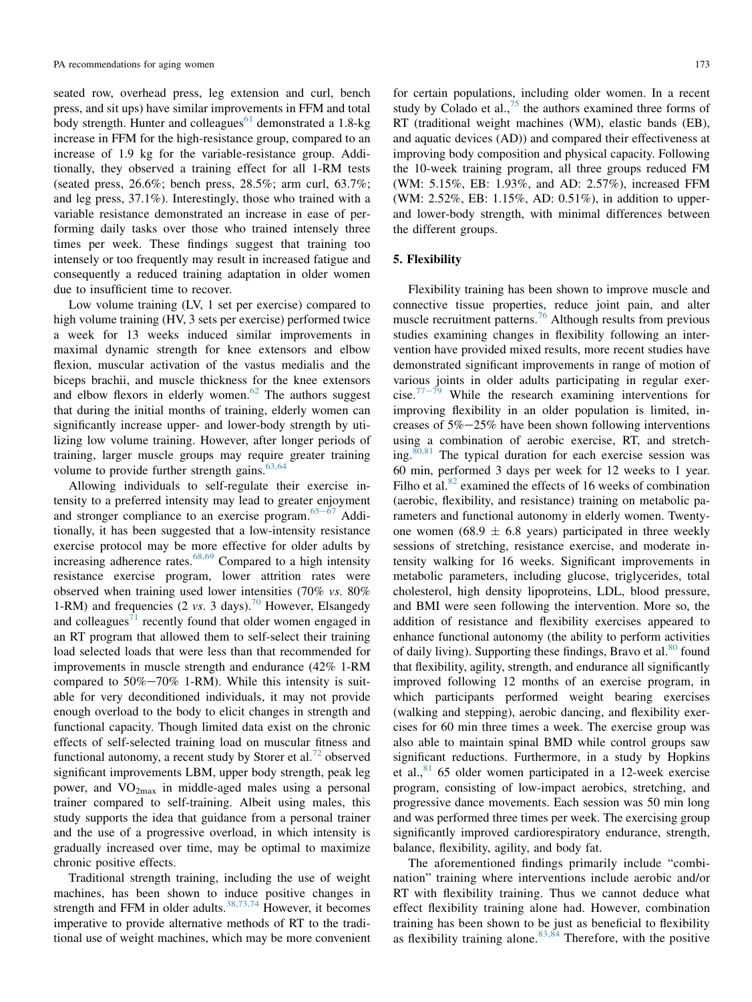seated row, overhead press, leg extension and curl, bench press, and sit ups) have similar improvements in FFM and total body strength. Hunter and colleagues<sup>[61](#page-7-0)</sup> demonstrated a 1.8-kg increase in FFM for the high-resistance group, compared to an increase of 1.9 kg for the variable-resistance group. Additionally, they observed a training effect for all 1-RM tests (seated press, 26.6%; bench press, 28.5%; arm curl, 63.7%; and leg press, 37.1%). Interestingly, those who trained with a variable resistance demonstrated an increase in ease of performing daily tasks over those who trained intensely three times per week. These findings suggest that training too intensely or too frequently may result in increased fatigue and consequently a reduced training adaptation in older women due to insufficient time to recover.

Low volume training (LV, 1 set per exercise) compared to high volume training (HV, 3 sets per exercise) performed twice a week for 13 weeks induced similar improvements in maximal dynamic strength for knee extensors and elbow flexion, muscular activation of the vastus medialis and the biceps brachii, and muscle thickness for the knee extensors and elbow flexors in elderly women.<sup>[62](#page-7-0)</sup> The authors suggest that during the initial months of training, elderly women can significantly increase upper- and lower-body strength by utilizing low volume training. However, after longer periods of training, larger muscle groups may require greater training volume to provide further strength gains. $63,64$ 

Allowing individuals to self-regulate their exercise intensity to a preferred intensity may lead to greater enjoyment and stronger compliance to an exercise program. $65-\overline{67}$  $65-\overline{67}$  $65-\overline{67}$  $65-\overline{67}$  Additionally, it has been suggested that a low-intensity resistance exercise protocol may be more effective for older adults by increasing adherence rates. $68,69$  Compared to a high intensity resistance exercise program, lower attrition rates were observed when training used lower intensities (70% vs. 80% 1-RM) and frequencies (2 vs. 3 days).<sup>[70](#page-7-0)</sup> However, Elsangedy and colleagues<sup> $71$ </sup> recently found that older women engaged in an RT program that allowed them to self-select their training load selected loads that were less than that recommended for improvements in muscle strength and endurance (42% 1-RM compared to  $50\% - 70\%$  1-RM). While this intensity is suitable for very deconditioned individuals, it may not provide enough overload to the body to elicit changes in strength and functional capacity. Though limited data exist on the chronic effects of self-selected training load on muscular fitness and functional autonomy, a recent study by Storer et al.<sup>[72](#page-8-0)</sup> observed significant improvements LBM, upper body strength, peak leg power, and  $VO<sub>2max</sub>$  in middle-aged males using a personal trainer compared to self-training. Albeit using males, this study supports the idea that guidance from a personal trainer and the use of a progressive overload, in which intensity is gradually increased over time, may be optimal to maximize chronic positive effects.

Traditional strength training, including the use of weight machines, has been shown to induce positive changes in strength and FFM in older adults.<sup>[38,73,74](#page-7-0)</sup> However, it becomes imperative to provide alternative methods of RT to the traditional use of weight machines, which may be more convenient for certain populations, including older women. In a recent study by Colado et al.,  $75$  the authors examined three forms of RT (traditional weight machines (WM), elastic bands (EB), and aquatic devices (AD)) and compared their effectiveness at improving body composition and physical capacity. Following the 10-week training program, all three groups reduced FM (WM: 5.15%, EB: 1.93%, and AD: 2.57%), increased FFM (WM: 2.52%, EB: 1.15%, AD: 0.51%), in addition to upperand lower-body strength, with minimal differences between the different groups.

#### 5. Flexibility

Flexibility training has been shown to improve muscle and connective tissue properties, reduce joint pain, and alter muscle recruitment patterns.<sup>[76](#page-8-0)</sup> Although results from previous studies examining changes in flexibility following an intervention have provided mixed results, more recent studies have demonstrated significant improvements in range of motion of various joints in older adults participating in regular exer-cise.<sup>[77](#page-8-0)- $\frac{7}{9}$ </sup> While the research examining interventions for improving flexibility in an older population is limited, increases of  $5\% - 25\%$  have been shown following interventions using a combination of aerobic exercise, RT, and stretching. $80,81$  The typical duration for each exercise session was 60 min, performed 3 days per week for 12 weeks to 1 year. Filho et al. $82$  examined the effects of 16 weeks of combination (aerobic, flexibility, and resistance) training on metabolic parameters and functional autonomy in elderly women. Twentyone women (68.9  $\pm$  6.8 years) participated in three weekly sessions of stretching, resistance exercise, and moderate intensity walking for 16 weeks. Significant improvements in metabolic parameters, including glucose, triglycerides, total cholesterol, high density lipoproteins, LDL, blood pressure, and BMI were seen following the intervention. More so, the addition of resistance and flexibility exercises appeared to enhance functional autonomy (the ability to perform activities of daily living). Supporting these findings, Bravo et al. $80$  found that flexibility, agility, strength, and endurance all significantly improved following 12 months of an exercise program, in which participants performed weight bearing exercises (walking and stepping), aerobic dancing, and flexibility exercises for 60 min three times a week. The exercise group was also able to maintain spinal BMD while control groups saw significant reductions. Furthermore, in a study by Hopkins et al.,  $81$  65 older women participated in a 12-week exercise program, consisting of low-impact aerobics, stretching, and progressive dance movements. Each session was 50 min long and was performed three times per week. The exercising group significantly improved cardiorespiratory endurance, strength, balance, flexibility, agility, and body fat.

The aforementioned findings primarily include "combination" training where interventions include aerobic and/or RT with flexibility training. Thus we cannot deduce what effect flexibility training alone had. However, combination training has been shown to be just as beneficial to flexibility as flexibility training alone.  $83,84$  Therefore, with the positive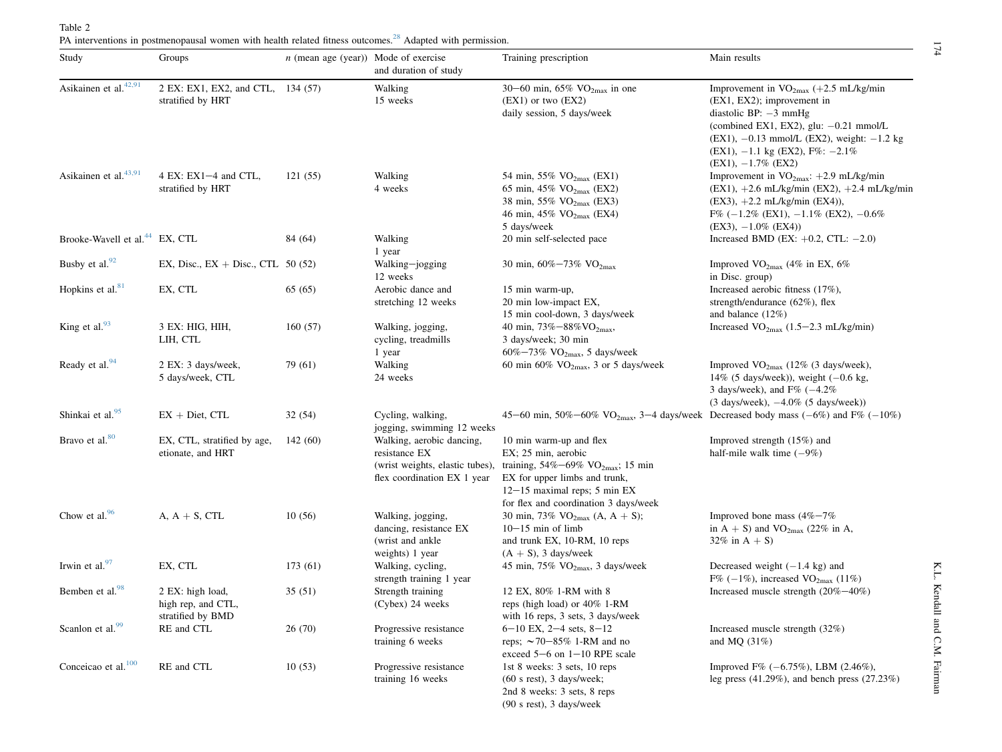<span id="page-4-0"></span>

| Study                                      | Groups                                                      | $n$ (mean age (year)) Mode of exercise | and duration of study                                                                                        | Training prescription                                                                                                                                                                                             | Main results                                                                                                                                                                                                                                                                       |
|--------------------------------------------|-------------------------------------------------------------|----------------------------------------|--------------------------------------------------------------------------------------------------------------|-------------------------------------------------------------------------------------------------------------------------------------------------------------------------------------------------------------------|------------------------------------------------------------------------------------------------------------------------------------------------------------------------------------------------------------------------------------------------------------------------------------|
| Asikainen et al. <sup>42,91</sup>          | 2 EX: EX1, EX2, and CTL, 134 (57)<br>stratified by HRT      |                                        | Walking<br>15 weeks                                                                                          | 30–60 min, 65% $VO_{2max}$ in one<br>$(EX1)$ or two $(EX2)$<br>daily session, 5 days/week                                                                                                                         | Improvement in $VO_{2max}$ (+2.5 mL/kg/min<br>$(EX1, EX2)$ ; improvement in<br>diastolic BP: $-3$ mmHg<br>(combined EX1, EX2), glu: $-0.21$ mmol/L<br>$(EX1)$ , $-0.13$ mmol/L (EX2), weight: $-1.2$ kg<br>$(EX1)$ , $-1.1$ kg $(EX2)$ , $F\%$ : $-2.1\%$<br>$(EX1), -1.7\%$ (EX2) |
| Asikainen et al. <sup>43,91</sup>          | 4 EX: EX1 $-4$ and CTL,<br>stratified by HRT                | 121(55)                                | Walking<br>4 weeks                                                                                           | 54 min, 55% VO <sub>2max</sub> (EX1)<br>65 min, 45% $VO_{2max}$ (EX2)<br>38 min, 55% VO <sub>2max</sub> (EX3)<br>46 min, 45% $VO_{2max}$ (EX4)<br>5 days/week                                                     | Improvement in $VO_{2max}: +2.9$ mL/kg/min<br>$(EX1)$ , +2.6 mL/kg/min $(EX2)$ , +2.4 mL/kg/min<br>$(EX3)$ , $+2.2$ mL/kg/min $(EX4)$ ),<br>$F\%$ (-1.2\% (EX1), -1.1\% (EX2), -0.6\%<br>$(EX3)$ , $-1.0\%$ $(EX4)$                                                                |
| Brooke-Wavell et al. <sup>44</sup> EX, CTL |                                                             | 84 (64)                                | Walking<br>1 year                                                                                            | 20 min self-selected pace                                                                                                                                                                                         | Increased BMD (EX: $+0.2$ , CTL: $-2.0$ )                                                                                                                                                                                                                                          |
| Busby et al. <sup>92</sup>                 | EX, Disc., $EX + Disc$ , CTL 50 (52)                        |                                        | Walking-jogging<br>12 weeks                                                                                  | 30 min, $60\% - 73\%$ VO <sub>2max</sub>                                                                                                                                                                          | Improved $VO_{2max}$ (4% in EX, 6%)<br>in Disc. group)                                                                                                                                                                                                                             |
| Hopkins et al. <sup>81</sup>               | EX, CTL                                                     | 65(65)                                 | Aerobic dance and<br>stretching 12 weeks                                                                     | 15 min warm-up,<br>20 min low-impact EX,<br>15 min cool-down, 3 days/week                                                                                                                                         | Increased aerobic fitness (17%),<br>strength/endurance $(62\%)$ , flex<br>and balance $(12\%)$                                                                                                                                                                                     |
| King et al. <sup>93</sup>                  | 3 EX: HIG, HIH,<br>LIH, CTL                                 | 160(57)                                | Walking, jogging,<br>cycling, treadmills<br>1 year                                                           | 40 min, 73%-88%VO <sub>2max</sub> ,<br>3 days/week; 30 min<br>$60\% - 73\%$ VO <sub>2max</sub> , 5 days/week                                                                                                      | Increased $VO_{2max}$ (1.5–2.3 mL/kg/min)                                                                                                                                                                                                                                          |
| Ready et al. <sup>94</sup>                 | 2 EX: 3 days/week,<br>5 days/week, CTL                      | 79 (61)                                | Walking<br>24 weeks                                                                                          | 60 min 60% $\rm VO_{2max}$ , 3 or 5 days/week                                                                                                                                                                     | Improved $VO_{2max}$ (12% (3 days/week),<br>14% (5 days/week)), weight $(-0.6 \text{ kg})$ ,<br>3 days/week), and $F\%$ ( $-4.2\%$ )<br>$(3 \text{ days/week})$ , $-4.0\%$ $(5 \text{ days/week})$                                                                                 |
| Shinkai et al. <sup>95</sup>               | $\mathbf{E}\mathbf{X}$ + Diet, CTL                          | 32(54)                                 | Cycling, walking,<br>jogging, swimming 12 weeks                                                              | 45–60 min, 50%–60% VO <sub>2max</sub> , 3–4 days/week Decreased body mass (–6%) and F% (–10%)                                                                                                                     |                                                                                                                                                                                                                                                                                    |
| Bravo et al. <sup>80</sup>                 | EX, CTL, stratified by age,<br>etionate, and HRT            | 142(60)                                | Walking, aerobic dancing,<br>resistance EX<br>(wrist weights, elastic tubes),<br>flex coordination EX 1 year | 10 min warm-up and flex<br>EX; 25 min, aerobic<br>training, $54\% - 69\%$ VO <sub>2max</sub> ; 15 min<br>EX for upper limbs and trunk,<br>$12-15$ maximal reps; 5 min EX<br>for flex and coordination 3 days/week | Improved strength (15%) and<br>half-mile walk time $(-9%)$                                                                                                                                                                                                                         |
| Chow et al. <sup>96</sup>                  | $A, A + S, CTL$                                             | 10(56)                                 | Walking, jogging,<br>dancing, resistance EX<br>(wrist and ankle<br>weights) 1 year                           | 30 min, 73% $VO_{2max}$ (A, A + S);<br>$10-15$ min of limb<br>and trunk EX, 10-RM, 10 reps<br>$(A + S)$ , 3 days/week                                                                                             | Improved bone mass $(4\% - 7\%$<br>in $A + S$ ) and VO <sub>2max</sub> (22% in A,<br>32% in $A + S$ )                                                                                                                                                                              |
| Irwin et al. $97$                          | EX, CTL                                                     | 173 (61)                               | Walking, cycling,<br>strength training 1 year                                                                | 45 min, 75% $VO2max$ , 3 days/week                                                                                                                                                                                | Decreased weight $(-1.4 \text{ kg})$ and<br>$F\%$ (-1%), increased VO <sub>2max</sub> (11%)                                                                                                                                                                                        |
| Bemben et al. <sup>98</sup>                | 2 EX: high load,<br>high rep, and CTL,<br>stratified by BMD | 35(51)                                 | Strength training<br>(Cybex) 24 weeks                                                                        | 12 EX, 80% 1-RM with 8<br>reps (high load) or 40% 1-RM<br>with 16 reps, 3 sets, 3 days/week                                                                                                                       | Increased muscle strength $(20\% - 40\%)$                                                                                                                                                                                                                                          |
| Scanlon et al. <sup>99</sup>               | RE and CTL                                                  | 26(70)                                 | Progressive resistance<br>training 6 weeks                                                                   | $6-10$ EX, $2-4$ sets, $8-12$<br>reps; $\sim$ 70–85% 1-RM and no<br>exceed $5-6$ on $1-10$ RPE scale                                                                                                              | Increased muscle strength (32%)<br>and MQ $(31%)$                                                                                                                                                                                                                                  |
| Conceicao et al. <sup>100</sup>            | RE and CTL                                                  | 10(53)                                 | Progressive resistance<br>training 16 weeks                                                                  | 1st 8 weeks: 3 sets, 10 reps<br>$(60 \text{ s rest})$ , 3 days/week;<br>2nd 8 weeks: 3 sets, 8 reps                                                                                                               | Improved F% $(-6.75\%)$ , LBM $(2.46\%)$ ,<br>leg press $(41.29\%)$ , and bench press $(27.23\%)$                                                                                                                                                                                  |

(90 <sup>s</sup> rest), 3 days/week

174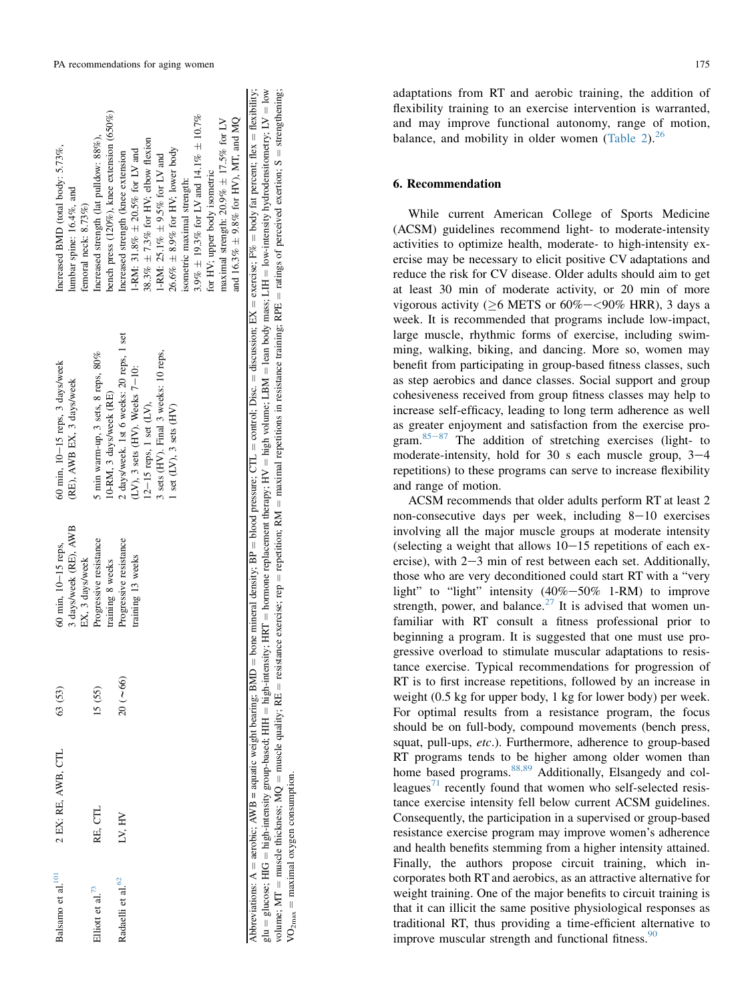| Balsamo et al. <sup>101</sup> | 2 EX: RE, AWB, CTL | 63 (53)           | 3 days/week (RE), AWB<br>60 min, 10-15 reps,<br>EX, 3 days/week | 60 min, 10-15 reps, 3 days/week<br>(RE), AWB EX, 3 days/week                                                                                                                           | Increased BMD (total body: 5.73%,<br>lumbar spine: $16.4\%$ , and<br>femoral neck: 8.73%)                                                                                                                                                                                                                                                                                                                       |
|-------------------------------|--------------------|-------------------|-----------------------------------------------------------------|----------------------------------------------------------------------------------------------------------------------------------------------------------------------------------------|-----------------------------------------------------------------------------------------------------------------------------------------------------------------------------------------------------------------------------------------------------------------------------------------------------------------------------------------------------------------------------------------------------------------|
| Elliott et al. <sup>73</sup>  | RE. CTL            | 15(55)            | Progressive resistance<br>training 8 weeks                      | 5 min warm-up, 3 sets, 8 reps, 80%<br>10-RM, 3 days/week (RE)                                                                                                                          | bench press $(120\%)$ , knee extension $(650\%)$<br>Increased strength (lat pulldow: 88%),                                                                                                                                                                                                                                                                                                                      |
| Radaelli et al. <sup>62</sup> | LV, HV             | $20$ ( $\sim$ 66) | Progressive resistance<br>training 13 weeks                     | 2 days/week. 1st 6 weeks: 20 reps, 1 set<br>3 sets (HV). Final 3 weeks: 10 reps,<br>$(LV)$ , 3 sets $(HV)$ . Weeks $7-10$ :<br>$12-15$ reps, 1 set $(LV)$ ,<br>1 set (LV), 3 sets (HV) | $3.9\% \pm 19.3\%$ for LV and 14.1% $\pm 10.7\%$<br>and 16.3% $\pm$ 9.8% for HV), MT, and MQ<br>maximal strength: $20.9\% \pm 17.5\%$ for LV<br>38.3% $\pm$ 7.3% for HV; elbow flexion<br>$26.6\% \pm 8.9\%$ for HV; lower body<br>1-RM: 31.8% $\pm$ 20.5% for LV and<br>Increased strength (knee extension<br>1-RM: 25.1% $\pm$ 9.5% for LV and<br>for HV; upper body isometric<br>isometric maximal strength: |

Abbreviations: A 딃 glucose; HIG high-intensity group-based; HIH high-intensity; HRT hormone replacement therapy; HV high volume; LBM lean body mass; LIH low-intensity hydrodensitometry; LV  $=$  low volume; MT muscle thickness; MQ muscle quality; RE resistance exercise; rep repetition; RM maximal repetitions in resistance training; RPE ratings of perceived exertion; S = strengthening;  $\rm VO_{2max}$   $\bar{=}$  $=$  maximal oxygen consumption. maximal oxygen consumption.

adaptations from RT and aerobic training, the addition of flexibility training to an exercise intervention is warranted, and may improve functional autonomy, range of motion, balance, and mobility in older women [\(Table 2](#page-4-0)). $^{26}$  $^{26}$  $^{26}$ 

# 6. Recommendation

While current American College of Sports Medicine (ACSM) guidelines recommend light- to moderate-intensity activities to optimize health, moderate- to high-intensity exercise may be necessary to elicit positive CV adaptations and reduce the risk for CV disease. Older adults should aim to get at least 30 min of moderate activity, or 20 min of more vigorous activity ( $\geq$ 6 METS or 60%- $\lt$ 90% HRR), 3 days a week. It is recommended that programs include low-impact, large muscle, rhythmic forms of exercise, including swimming, walking, biking, and dancing. More so, women may benefit from participating in group-based fitness classes, such as step aerobics and dance classes. Social support and group cohesiveness received from group fitness classes may help to increase self-efficacy, leading to long term adherence as well as greater enjoyment and satisfaction from the exercise program. $85-87$  $85-87$  $85-87$  The addition of stretching exercises (light- to moderate-intensity, hold for 30 s each muscle group,  $3-4$ repetitions) to these programs can serve to increase flexibility and range of motion.

ACSM recommends that older adults perform RT at least 2 non-consecutive days per week, including  $8-10$  exercises involving all the major muscle groups at moderate intensity (selecting a weight that allows  $10-15$  repetitions of each exercise), with  $2-3$  min of rest between each set. Additionally, those who are very deconditioned could start RT with a "very light" to "light" intensity  $(40\% - 50\%$  1-RM) to improve strength, power, and balance.<sup>[27](#page-6-0)</sup> It is advised that women unfamiliar with RT consult a fitness professional prior to beginning a program. It is suggested that one must use progressive overload to stimulate muscular adaptations to resistance exercise. Typical recommendations for progression of RT is to first increase repetitions, followed by an increase in weight (0.5 kg for upper body, 1 kg for lower body) per week. For optimal results from a resistance program, the focus should be on full-body, compound movements (bench press, squat, pull-ups, etc.). Furthermore, adherence to group-based RT programs tends to be higher among older women than home based programs.<sup>[88,89](#page-8-0)</sup> Additionally, Elsangedy and col-leagues<sup>[71](#page-8-0)</sup> recently found that women who self-selected resistance exercise intensity fell below current ACSM guidelines. Consequently, the participation in a supervised or group-based resistance exercise program may improve women's adherence and health benefits stemming from a higher intensity attained. Finally, the authors propose circuit training, which incorporates both RT and aerobics, as an attractive alternative for weight training. One of the major benefits to circuit training is that it can illicit the same positive physiological responses as traditional RT, thus providing a time-efficient alternative to improve muscular strength and functional fitness. $\frac{90}{90}$  $\frac{90}{90}$  $\frac{90}{90}$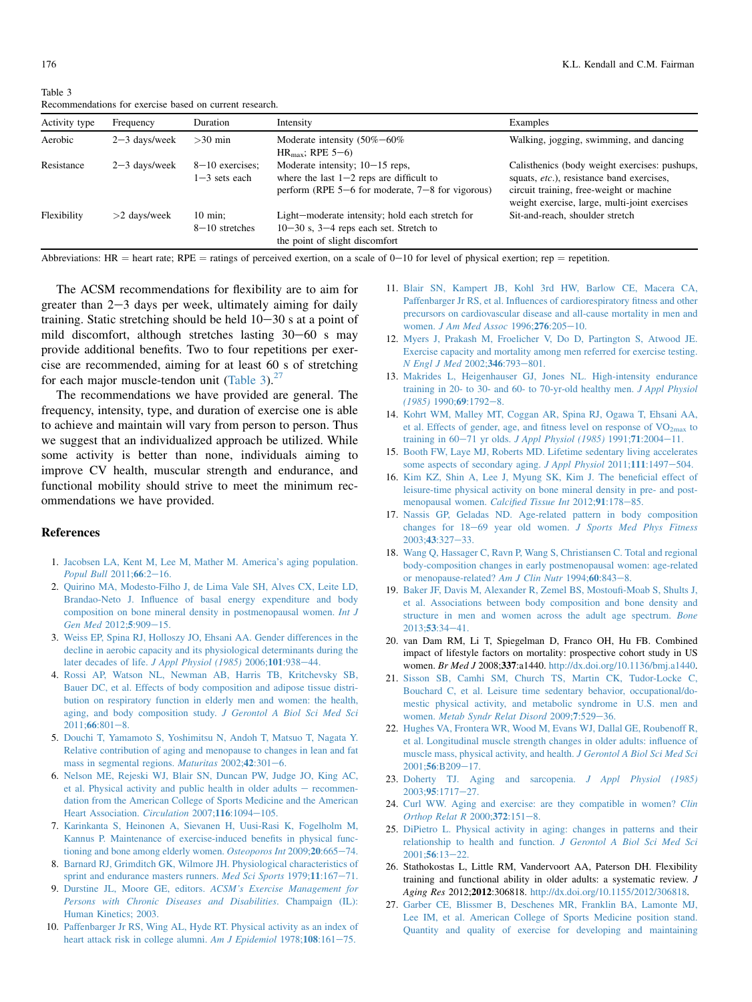<span id="page-6-0"></span>176 K.L. Kendall and C.M. Fairman

Table 3 Recommendations for exercise based on current research.

| Activity type | Frequency       | Duration                               | Intensity                                                                                                                               | Examples                                                                                                                                                                                |
|---------------|-----------------|----------------------------------------|-----------------------------------------------------------------------------------------------------------------------------------------|-----------------------------------------------------------------------------------------------------------------------------------------------------------------------------------------|
| Aerobic       | $2-3$ days/week | $>30$ min                              | Moderate intensity $(50\% - 60\%)$<br>$HR_{max}$ ; RPE 5-6)                                                                             | Walking, jogging, swimming, and dancing                                                                                                                                                 |
| Resistance    | $2-3$ days/week | $8-10$ exercises:<br>$1-3$ sets each   | Moderate intensity; $10-15$ reps,<br>where the last $1-2$ reps are difficult to<br>perform (RPE $5-6$ for moderate, $7-8$ for vigorous) | Calisthenics (body weight exercises: pushups,<br>squats, etc.), resistance band exercises,<br>circuit training, free-weight or machine<br>weight exercise, large, multi-joint exercises |
| Flexibility   | $>$ 2 days/week | $10 \text{ min}$ :<br>$8-10$ stretches | Light-moderate intensity; hold each stretch for<br>$10-30$ s, $3-4$ reps each set. Stretch to<br>the point of slight discomfort         | Sit-and-reach, shoulder stretch                                                                                                                                                         |

Abbreviations: HR = heart rate; RPE = ratings of perceived exertion, on a scale of 0-10 for level of physical exertion; rep = repetition.

The ACSM recommendations for flexibility are to aim for greater than  $2-3$  days per week, ultimately aiming for daily training. Static stretching should be held  $10-30$  s at a point of mild discomfort, although stretches lasting  $30-60$  s may provide additional benefits. Two to four repetitions per exercise are recommended, aiming for at least 60 s of stretching for each major muscle-tendon unit (Table 3). $^{27}$ 

The recommendations we have provided are general. The frequency, intensity, type, and duration of exercise one is able to achieve and maintain will vary from person to person. Thus we suggest that an individualized approach be utilized. While some activity is better than none, individuals aiming to improve CV health, muscular strength and endurance, and functional mobility should strive to meet the minimum recommendations we have provided.

## References

- 1. [Jacobsen LA, Kent M, Lee M, Mather M. America's aging population.](http://refhub.elsevier.com/S2095-2546(14)00038-6/sref1) [Popul Bull](http://refhub.elsevier.com/S2095-2546(14)00038-6/sref1)  $2011;66:2-16$ .
- 2. [Quirino MA, Modesto-Filho J, de Lima Vale SH, Alves CX, Leite LD,](http://refhub.elsevier.com/S2095-2546(14)00038-6/sref2) [Brandao-Neto J. Influence of basal energy expenditure and body](http://refhub.elsevier.com/S2095-2546(14)00038-6/sref2) [composition on bone mineral density in postmenopausal women.](http://refhub.elsevier.com/S2095-2546(14)00038-6/sref2) Int J [Gen Med](http://refhub.elsevier.com/S2095-2546(14)00038-6/sref2) 2012;5:909-[15.](http://refhub.elsevier.com/S2095-2546(14)00038-6/sref2)
- 3. [Weiss EP, Spina RJ, Holloszy JO, Ehsani AA. Gender differences in the](http://refhub.elsevier.com/S2095-2546(14)00038-6/sref3) [decline in aerobic capacity and its physiological determinants during the](http://refhub.elsevier.com/S2095-2546(14)00038-6/sref3) later decades of life.  $J$  Appl Physiol (1985) 2006;101:938-[44.](http://refhub.elsevier.com/S2095-2546(14)00038-6/sref3)
- 4. [Rossi AP, Watson NL, Newman AB, Harris TB, Kritchevsky SB,](http://refhub.elsevier.com/S2095-2546(14)00038-6/sref4) [Bauer DC, et al. Effects of body composition and adipose tissue distri](http://refhub.elsevier.com/S2095-2546(14)00038-6/sref4)[bution on respiratory function in elderly men and women: the health,](http://refhub.elsevier.com/S2095-2546(14)00038-6/sref4) [aging, and body composition study.](http://refhub.elsevier.com/S2095-2546(14)00038-6/sref4) J Gerontol A Biol Sci Med Sci  $2011:66:801-8.$  $2011:66:801-8.$
- 5. [Douchi T, Yamamoto S, Yoshimitsu N, Andoh T, Matsuo T, Nagata Y.](http://refhub.elsevier.com/S2095-2546(14)00038-6/sref5) [Relative contribution of aging and menopause to changes in lean and fat](http://refhub.elsevier.com/S2095-2546(14)00038-6/sref5) [mass in segmental regions.](http://refhub.elsevier.com/S2095-2546(14)00038-6/sref5) Maturitas  $2002;42:301-6$ .
- 6. [Nelson ME, Rejeski WJ, Blair SN, Duncan PW, Judge JO, King AC,](http://refhub.elsevier.com/S2095-2546(14)00038-6/sref6) [et al. Physical activity and public health in older adults](http://refhub.elsevier.com/S2095-2546(14)00038-6/sref6)  $-$  [recommen](http://refhub.elsevier.com/S2095-2546(14)00038-6/sref6)[dation from the American College of Sports Medicine and the American](http://refhub.elsevier.com/S2095-2546(14)00038-6/sref6) [Heart Association.](http://refhub.elsevier.com/S2095-2546(14)00038-6/sref6) Circulation 2007;116:1094-[105.](http://refhub.elsevier.com/S2095-2546(14)00038-6/sref6)
- 7. [Karinkanta S, Heinonen A, Sievanen H, Uusi-Rasi K, Fogelholm M,](http://refhub.elsevier.com/S2095-2546(14)00038-6/sref7) [Kannus P. Maintenance of exercise-induced benefits in physical func](http://refhub.elsevier.com/S2095-2546(14)00038-6/sref7)[tioning and bone among elderly women.](http://refhub.elsevier.com/S2095-2546(14)00038-6/sref7) Osteoporos Int 2009;20:665-[74.](http://refhub.elsevier.com/S2095-2546(14)00038-6/sref7)
- 8. [Barnard RJ, Grimditch GK, Wilmore JH. Physiological characteristics of](http://refhub.elsevier.com/S2095-2546(14)00038-6/sref8) [sprint and endurance masters runners.](http://refhub.elsevier.com/S2095-2546(14)00038-6/sref8) Med Sci Sports 1979;11:167-[71.](http://refhub.elsevier.com/S2095-2546(14)00038-6/sref8)
- 9. Durstine JL, Moore GE, editors. [ACSM's Exercise Management for](http://refhub.elsevier.com/S2095-2546(14)00038-6/sref9) [Persons with Chronic Diseases and Disabilities](http://refhub.elsevier.com/S2095-2546(14)00038-6/sref9). Champaign (IL): [Human Kinetics; 2003.](http://refhub.elsevier.com/S2095-2546(14)00038-6/sref9)
- 10. [Paffenbarger Jr RS, Wing AL, Hyde RT. Physical activity as an index of](http://refhub.elsevier.com/S2095-2546(14)00038-6/sref10) [heart attack risk in college alumni.](http://refhub.elsevier.com/S2095-2546(14)00038-6/sref10) Am J Epidemiol 1978;108:161-[75.](http://refhub.elsevier.com/S2095-2546(14)00038-6/sref10)
- 11. [Blair SN, Kampert JB, Kohl 3rd HW, Barlow CE, Macera CA,](http://refhub.elsevier.com/S2095-2546(14)00038-6/sref11) [Paffenbarger Jr RS, et al. Influences of cardiorespiratory fitness and other](http://refhub.elsevier.com/S2095-2546(14)00038-6/sref11) [precursors on cardiovascular disease and all-cause mortality in men and](http://refhub.elsevier.com/S2095-2546(14)00038-6/sref11) women. [J Am Med Assoc](http://refhub.elsevier.com/S2095-2546(14)00038-6/sref11) 1996;276:205-[10.](http://refhub.elsevier.com/S2095-2546(14)00038-6/sref11)
- 12. Myers [J, Prakash M, Froelicher V, Do D, Partington S, Atwood JE.](http://refhub.elsevier.com/S2095-2546(14)00038-6/sref12) [Exercise capacity and mortality among men referred for exercise testing.](http://refhub.elsevier.com/S2095-2546(14)00038-6/sref12) [N Engl J Med](http://refhub.elsevier.com/S2095-2546(14)00038-6/sref12) 2002;346:793-[801.](http://refhub.elsevier.com/S2095-2546(14)00038-6/sref12)
- 13. [Makrides L, Heigenhauser GJ, Jones NL. High-intensity endurance](http://refhub.elsevier.com/S2095-2546(14)00038-6/sref13) [training in 20- to 30- and 60- to 70-yr-old healthy men.](http://refhub.elsevier.com/S2095-2546(14)00038-6/sref13) J Appl Physiol  $(1985)$  1990:69:1792-[8.](http://refhub.elsevier.com/S2095-2546(14)00038-6/sref13)
- 14. [Kohrt WM, Malley MT, Coggan AR, Spina RJ, Ogawa T, Ehsani AA,](http://refhub.elsevier.com/S2095-2546(14)00038-6/sref14) et al. Effects of gender, age, and fitness level on response of  $VO<sub>2max</sub>$  [to](http://refhub.elsevier.com/S2095-2546(14)00038-6/sref14) training in  $60-71$  yr olds. [J Appl Physiol \(1985\)](http://refhub.elsevier.com/S2095-2546(14)00038-6/sref14) 1991;71:2004-[11.](http://refhub.elsevier.com/S2095-2546(14)00038-6/sref14)
- 15. [Booth FW, Laye MJ, Roberts MD. Lifetime sedentary living accelerates](http://refhub.elsevier.com/S2095-2546(14)00038-6/sref15) [some aspects of secondary aging.](http://refhub.elsevier.com/S2095-2546(14)00038-6/sref15) J Appl Physiol 2011;111:1497-[504.](http://refhub.elsevier.com/S2095-2546(14)00038-6/sref15)
- 16. [Kim KZ, Shin A, Lee J, Myung SK, Kim J. The beneficial effect of](http://refhub.elsevier.com/S2095-2546(14)00038-6/sref16) [leisure-time physical activity on bone mineral density in pre- and post](http://refhub.elsevier.com/S2095-2546(14)00038-6/sref16)[menopausal women.](http://refhub.elsevier.com/S2095-2546(14)00038-6/sref16) Calcified Tissue Int 2012;91:178-[85.](http://refhub.elsevier.com/S2095-2546(14)00038-6/sref16)
- 17. [Nassis GP, Geladas ND. Age-related pattern in body composition](http://refhub.elsevier.com/S2095-2546(14)00038-6/sref17) changes for  $18-69$  year old women. [J Sports Med Phys Fitness](http://refhub.elsevier.com/S2095-2546(14)00038-6/sref17) [2003;](http://refhub.elsevier.com/S2095-2546(14)00038-6/sref17)43:327-[33.](http://refhub.elsevier.com/S2095-2546(14)00038-6/sref17)
- 18. [Wang Q, Hassager C, Ravn P, Wang S, Christiansen C. Total and regional](http://refhub.elsevier.com/S2095-2546(14)00038-6/sref18) [body-composition changes in early postmenopausal women: age-related](http://refhub.elsevier.com/S2095-2546(14)00038-6/sref18) [or menopause-related?](http://refhub.elsevier.com/S2095-2546(14)00038-6/sref18) Am J Clin Nutr  $1994;60:843-8$ .
- 19. [Baker JF, Davis M, Alexander R, Zemel BS, Mostoufi-Moab S, Shults J,](http://refhub.elsevier.com/S2095-2546(14)00038-6/sref19) [et al. Associations between body composition and bone density and](http://refhub.elsevier.com/S2095-2546(14)00038-6/sref19) [structure in men and women across the adult age spectrum.](http://refhub.elsevier.com/S2095-2546(14)00038-6/sref19) Bone  $2013:53:34-41.$  $2013:53:34-41.$
- 20. van Dam RM, Li T, Spiegelman D, Franco OH, Hu FB. Combined impact of lifestyle factors on mortality: prospective cohort study in US women. Br Med J 2008;337:a1440. [http://dx.doi.org/10.1136/bmj.a1440.](http://dx.doi.org/10.1136/bmj.a1440)
- 21. [Sisson SB, Camhi SM, Church TS, Martin CK, Tudor-Locke C,](http://refhub.elsevier.com/S2095-2546(14)00038-6/sref21) [Bouchard C, et al. Leisure time sedentary behavior, occupational/do](http://refhub.elsevier.com/S2095-2546(14)00038-6/sref21)[mestic physical activity, and metabolic syndrome in U.S. men and](http://refhub.elsevier.com/S2095-2546(14)00038-6/sref21) women. [Metab Syndr Relat Disord](http://refhub.elsevier.com/S2095-2546(14)00038-6/sref21) 2009;7:529-[36.](http://refhub.elsevier.com/S2095-2546(14)00038-6/sref21)
- 22. [Hughes VA, Frontera WR, Wood M, Evans WJ, Dallal GE, Roubenoff R,](http://refhub.elsevier.com/S2095-2546(14)00038-6/sref22) [et al. Longitudinal muscle strength changes in older adults: influence of](http://refhub.elsevier.com/S2095-2546(14)00038-6/sref22) [muscle mass, physical activity, and health.](http://refhub.elsevier.com/S2095-2546(14)00038-6/sref22) J Gerontol A Biol Sci Med Sci 2001;56[:B209](http://refhub.elsevier.com/S2095-2546(14)00038-6/sref22)-[17.](http://refhub.elsevier.com/S2095-2546(14)00038-6/sref22)
- 23. [Doherty TJ. Aging and sarcopenia.](http://refhub.elsevier.com/S2095-2546(14)00038-6/sref23) J Appl Physiol (1985) 2003;95[:1717](http://refhub.elsevier.com/S2095-2546(14)00038-6/sref23)-[27.](http://refhub.elsevier.com/S2095-2546(14)00038-6/sref23)
- 24. [Curl WW. Aging and exercise: are they compatible in women?](http://refhub.elsevier.com/S2095-2546(14)00038-6/sref24) Clin Orthop Relat  $R$  2000; 372: 151-[8.](http://refhub.elsevier.com/S2095-2546(14)00038-6/sref24)
- 25. DiPietro [L. Physical activity in aging: changes in patterns and their](http://refhub.elsevier.com/S2095-2546(14)00038-6/sref25) [relationship to health and function.](http://refhub.elsevier.com/S2095-2546(14)00038-6/sref25) J Gerontol A Biol Sci Med Sci  $2001;56:13-22.$  $2001;56:13-22.$  $2001;56:13-22.$
- 26. Stathokostas L, Little RM, Vandervoort AA, Paterson DH. Flexibility training and functional ability in older adults: a systematic review. J Aging Res 2012;2012:306818. <http://dx.doi.org/10.1155/2012/306818>.
- 27. [Garber CE, Blissmer B, Deschenes MR, Franklin BA, Lamonte MJ,](http://refhub.elsevier.com/S2095-2546(14)00038-6/sref27) [Lee IM, et al. American College of Sports Medicine position stand.](http://refhub.elsevier.com/S2095-2546(14)00038-6/sref27) [Quantity and quality of exercise for developing and maintaining](http://refhub.elsevier.com/S2095-2546(14)00038-6/sref27)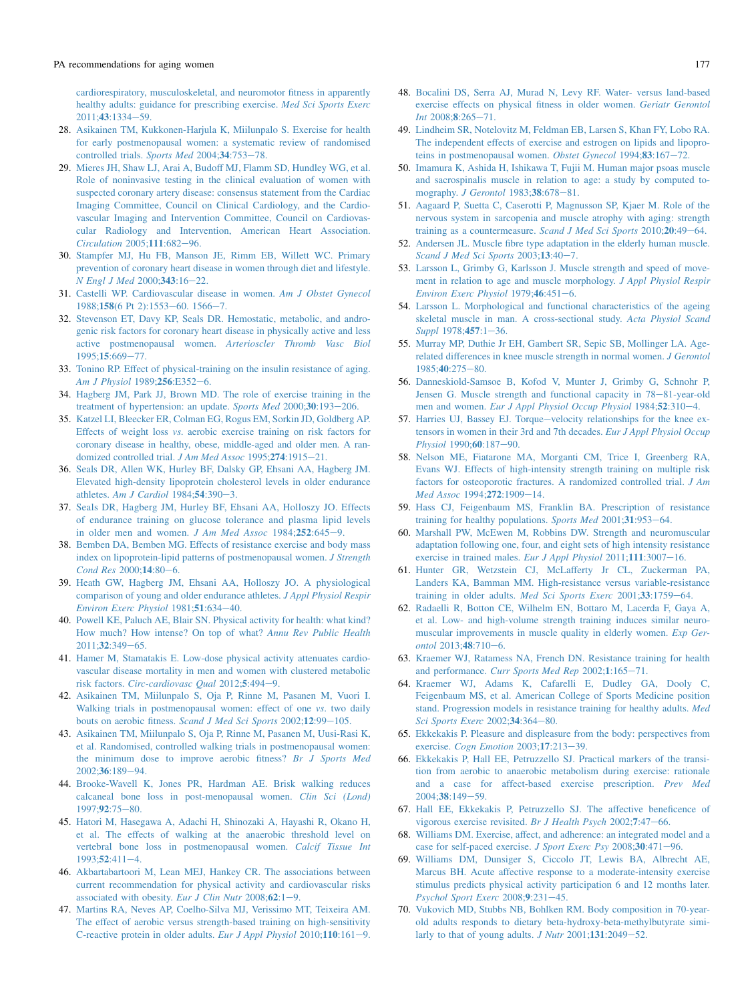<span id="page-7-0"></span>[cardiorespiratory, musculoskeletal, and neuromotor fitness in apparently](http://refhub.elsevier.com/S2095-2546(14)00038-6/sref27) [healthy adults: guidance for prescribing exercise.](http://refhub.elsevier.com/S2095-2546(14)00038-6/sref27) Med Sci Sports Exerc 2011:43:1334-[59.](http://refhub.elsevier.com/S2095-2546(14)00038-6/sref27)

- 28. [Asikainen TM, Kukkonen-Harjula K, Miilunpalo S. Exercise for health](http://refhub.elsevier.com/S2095-2546(14)00038-6/sref28) [for early postmenopausal women: a systematic review of randomised](http://refhub.elsevier.com/S2095-2546(14)00038-6/sref28) [controlled trials.](http://refhub.elsevier.com/S2095-2546(14)00038-6/sref28) Sports Med 2004;34:753-[78.](http://refhub.elsevier.com/S2095-2546(14)00038-6/sref28)
- 29. [Mieres JH, Shaw LJ, Arai A, Budoff MJ, Flamm SD, Hundley WG, et al.](http://refhub.elsevier.com/S2095-2546(14)00038-6/sref29) [Role of noninvasive testing in the clinical evaluation of women with](http://refhub.elsevier.com/S2095-2546(14)00038-6/sref29) [suspected coronary artery disease: consensus statement from the Cardiac](http://refhub.elsevier.com/S2095-2546(14)00038-6/sref29) [Imaging Committee, Council on Clinical Cardiology, and the Cardio](http://refhub.elsevier.com/S2095-2546(14)00038-6/sref29)[vascular Imaging and Intervention Committee, Council on Cardiovas](http://refhub.elsevier.com/S2095-2546(14)00038-6/sref29)[cular Radiology and Intervention, American Heart Association.](http://refhub.elsevier.com/S2095-2546(14)00038-6/sref29) [Circulation](http://refhub.elsevier.com/S2095-2546(14)00038-6/sref29) 2005;111:682-[96.](http://refhub.elsevier.com/S2095-2546(14)00038-6/sref29)
- 30. [Stampfer MJ, Hu FB, Manson JE, Rimm EB, Willett WC. Primary](http://refhub.elsevier.com/S2095-2546(14)00038-6/sref30) [prevention of coronary heart disease in women through diet and lifestyle.](http://refhub.elsevier.com/S2095-2546(14)00038-6/sref30)  $N$  Engl J Med 2000:343:16-[22.](http://refhub.elsevier.com/S2095-2546(14)00038-6/sref30)
- 31. [Castelli WP. Cardiovascular disease in women.](http://refhub.elsevier.com/S2095-2546(14)00038-6/sref31) Am J Obstet Gynecol 1988;158[\(6 Pt 2\):1553](http://refhub.elsevier.com/S2095-2546(14)00038-6/sref31)-[60. 1566](http://refhub.elsevier.com/S2095-2546(14)00038-6/sref31)-[7.](http://refhub.elsevier.com/S2095-2546(14)00038-6/sref31)
- 32. [Stevenson ET, Davy KP, Seals DR. Hemostatic, metabolic, and andro](http://refhub.elsevier.com/S2095-2546(14)00038-6/sref32)[genic risk factors for coronary heart disease in physically active and less](http://refhub.elsevier.com/S2095-2546(14)00038-6/sref32) active postmenopausal women. [Arterioscler Thromb Vasc Biol](http://refhub.elsevier.com/S2095-2546(14)00038-6/sref32) [1995;](http://refhub.elsevier.com/S2095-2546(14)00038-6/sref32)15:669-[77.](http://refhub.elsevier.com/S2095-2546(14)00038-6/sref32)
- 33. [Tonino RP. Effect of physical-training on the insulin resistance of aging.](http://refhub.elsevier.com/S2095-2546(14)00038-6/sref33) [Am J Physiol](http://refhub.elsevier.com/S2095-2546(14)00038-6/sref33)  $1989.256E352-6$ .
- 34. [Hagberg JM, Park JJ, Brown MD. The role of exercise training in the](http://refhub.elsevier.com/S2095-2546(14)00038-6/sref34) [treatment of hypertension: an update.](http://refhub.elsevier.com/S2095-2546(14)00038-6/sref34) Sports Med 2000;30:193-[206.](http://refhub.elsevier.com/S2095-2546(14)00038-6/sref34)
- 35. [Katzel LI, Bleecker ER, Colman EG, Rogus EM, Sorkin JD, Goldberg AP.](http://refhub.elsevier.com/S2095-2546(14)00038-6/sref35) Effects of weight loss vs[. aerobic exercise training on risk factors for](http://refhub.elsevier.com/S2095-2546(14)00038-6/sref35) [coronary disease in healthy, obese, middle-aged and older men. A ran](http://refhub.elsevier.com/S2095-2546(14)00038-6/sref35)[domized controlled trial.](http://refhub.elsevier.com/S2095-2546(14)00038-6/sref35) J Am Med Assoc 1995;274:1915-[21.](http://refhub.elsevier.com/S2095-2546(14)00038-6/sref35)
- 36. [Seals DR, Allen WK, Hurley BF, Dalsky GP, Ehsani AA, Hagberg JM.](http://refhub.elsevier.com/S2095-2546(14)00038-6/sref36) [Elevated high-density lipoprotein cholesterol levels in older endurance](http://refhub.elsevier.com/S2095-2546(14)00038-6/sref36) athletes. [Am J Cardiol](http://refhub.elsevier.com/S2095-2546(14)00038-6/sref36)  $1984$ ; 54:390-[3.](http://refhub.elsevier.com/S2095-2546(14)00038-6/sref36)
- 37. [Seals DR, Hagberg JM, Hurley BF, Ehsani AA, Holloszy JO. Effects](http://refhub.elsevier.com/S2095-2546(14)00038-6/sref37) [of endurance training on glucose tolerance and plasma lipid levels](http://refhub.elsevier.com/S2095-2546(14)00038-6/sref37) [in older men and women.](http://refhub.elsevier.com/S2095-2546(14)00038-6/sref37) J Am Med Assoc  $1984;252:645-9$ .
- 38. Bemben [DA, Bemben MG. Effects of resistance exercise and body mass](http://refhub.elsevier.com/S2095-2546(14)00038-6/sref38) [index on lipoprotein-lipid patterns of postmenopausal women.](http://refhub.elsevier.com/S2095-2546(14)00038-6/sref38) J Strength [Cond Res](http://refhub.elsevier.com/S2095-2546(14)00038-6/sref38) 2000;14:80-[6.](http://refhub.elsevier.com/S2095-2546(14)00038-6/sref38)
- 39. [Heath GW, Hagberg JM, Ehsani AA, Holloszy JO. A physiological](http://refhub.elsevier.com/S2095-2546(14)00038-6/sref39) [comparison of young and older endurance athletes.](http://refhub.elsevier.com/S2095-2546(14)00038-6/sref39) J Appl Physiol Respir [Environ Exerc Physiol](http://refhub.elsevier.com/S2095-2546(14)00038-6/sref39)  $1981$ ;  $51:634-40$ .
- 40. [Powell KE, Paluch AE, Blair SN. Physical activity for health: what kind?](http://refhub.elsevier.com/S2095-2546(14)00038-6/sref40) [How much? How intense? On top of what?](http://refhub.elsevier.com/S2095-2546(14)00038-6/sref40) Annu Rev Public Health  $2011:32:349-65.$  $2011:32:349-65.$
- 41. [Hamer M, Stamatakis E. Low-dose physical activity attenuates cardio](http://refhub.elsevier.com/S2095-2546(14)00038-6/sref41)[vascular disease mortality in men and women with clustered metabolic](http://refhub.elsevier.com/S2095-2546(14)00038-6/sref41) risk factors. [Circ-cardiovasc Qual](http://refhub.elsevier.com/S2095-2546(14)00038-6/sref41) 2012;5:494-[9.](http://refhub.elsevier.com/S2095-2546(14)00038-6/sref41)
- 42. [Asikainen TM, Miilunpalo S, Oja P, Rinne M, Pasanen M, Vuori I.](http://refhub.elsevier.com/S2095-2546(14)00038-6/sref42) [Walking trials in postmenopausal women: effect of one](http://refhub.elsevier.com/S2095-2546(14)00038-6/sref42) *vs*. two daily [bouts on aerobic fitness.](http://refhub.elsevier.com/S2095-2546(14)00038-6/sref42) Scand J Med Sci Sports 2002;12:99-[105.](http://refhub.elsevier.com/S2095-2546(14)00038-6/sref42)
- 43. [Asikainen TM, Miilunpalo S, Oja P, Rinne M, Pasanen M, Uusi-Rasi K,](http://refhub.elsevier.com/S2095-2546(14)00038-6/sref43) [et al. Randomised, controlled walking trials in postmenopausal women:](http://refhub.elsevier.com/S2095-2546(14)00038-6/sref43) [the minimum dose to improve aerobic fitness?](http://refhub.elsevier.com/S2095-2546(14)00038-6/sref43) Br J Sports Med  $2002:36:189-94.$  $2002:36:189-94.$
- 44. [Brooke-Wavell K, Jones PR, Hardman AE. Brisk walking reduces](http://refhub.elsevier.com/S2095-2546(14)00038-6/sref44) [calcaneal bone loss in post-menopausal women.](http://refhub.elsevier.com/S2095-2546(14)00038-6/sref44) Clin Sci (Lond)  $1997:92:75-80.$  $1997:92:75-80.$
- 45. [Hatori M, Hasegawa A, Adachi H, Shinozaki A, Hayashi R, Okano H,](http://refhub.elsevier.com/S2095-2546(14)00038-6/sref45) [et al. The effects of walking at the anaerobic threshold level on](http://refhub.elsevier.com/S2095-2546(14)00038-6/sref45) [vertebral bone loss in postmenopausal women.](http://refhub.elsevier.com/S2095-2546(14)00038-6/sref45) Calcif Tissue Int  $1993:52:411-4$ .
- 46. [Akbartabartoori M, Lean MEJ, Hankey CR. The associations between](http://refhub.elsevier.com/S2095-2546(14)00038-6/sref46) [current recommendation for physical activity and cardiovascular risks](http://refhub.elsevier.com/S2095-2546(14)00038-6/sref46) [associated with obesity.](http://refhub.elsevier.com/S2095-2546(14)00038-6/sref46) Eur J Clin Nutr  $2008;62:1-9$ .
- 47. [Martins RA, Neves AP, Coelho-Silva MJ, Verissimo MT, Teixeira AM.](http://refhub.elsevier.com/S2095-2546(14)00038-6/sref47) [The effect of aerobic versus strength-based training on high-sensitivity](http://refhub.elsevier.com/S2095-2546(14)00038-6/sref47) [C-reactive protein in older adults.](http://refhub.elsevier.com/S2095-2546(14)00038-6/sref47) Eur J Appl Physiol  $2010;110:161-9$ .
- 48. Bocalini [DS, Serra AJ, Murad N, Levy RF. Water- versus land-based](http://refhub.elsevier.com/S2095-2546(14)00038-6/sref48) [exercise effects on physical fitness in older women.](http://refhub.elsevier.com/S2095-2546(14)00038-6/sref48) Geriatr Gerontol  $Int 2008:8:265-71$ .
- 49. [Lindheim SR, Notelovitz M, Feldman EB, Larsen S, Khan FY, Lobo RA.](http://refhub.elsevier.com/S2095-2546(14)00038-6/sref49) [The independent effects of exercise and estrogen on lipids and lipopro](http://refhub.elsevier.com/S2095-2546(14)00038-6/sref49)[teins in postmenopausal women.](http://refhub.elsevier.com/S2095-2546(14)00038-6/sref49) Obstet Gynecol 1994;83:167-[72.](http://refhub.elsevier.com/S2095-2546(14)00038-6/sref49)
- 50. [Imamura K, Ashida H, Ishikawa T, Fujii M. Human major psoas muscle](http://refhub.elsevier.com/S2095-2546(14)00038-6/sref50) [and sacrospinalis muscle in relation to age: a study by computed to-](http://refhub.elsevier.com/S2095-2546(14)00038-6/sref50)mography. [J Gerontol](http://refhub.elsevier.com/S2095-2546(14)00038-6/sref50) 1983;38:678-[81.](http://refhub.elsevier.com/S2095-2546(14)00038-6/sref50)
- 51. [Aagaard P, Suetta C, Caserotti P, Magnusson SP, Kjaer M. Role of the](http://refhub.elsevier.com/S2095-2546(14)00038-6/sref51) [nervous system in sarcopenia and muscle atrophy with aging: strength](http://refhub.elsevier.com/S2095-2546(14)00038-6/sref51) [training as a countermeasure.](http://refhub.elsevier.com/S2095-2546(14)00038-6/sref51) Scand J Med Sci Sports  $2010;20:49-64$ .
- 52. [Andersen JL. Muscle fibre type adaptation in the elderly human muscle.](http://refhub.elsevier.com/S2095-2546(14)00038-6/sref52) [Scand J Med Sci Sports](http://refhub.elsevier.com/S2095-2546(14)00038-6/sref52) 2003;13:40-[7.](http://refhub.elsevier.com/S2095-2546(14)00038-6/sref52)
- 53. [Larsson L, Grimby G, Karlsson J. Muscle strength and speed of move](http://refhub.elsevier.com/S2095-2546(14)00038-6/sref53)[ment in relation to age and muscle morphology.](http://refhub.elsevier.com/S2095-2546(14)00038-6/sref53) J Appl Physiol Respir [Environ Exerc Physiol](http://refhub.elsevier.com/S2095-2546(14)00038-6/sref53)  $1979;46:451-6$ .
- 54. [Larsson L. Morphological and functional characteristics of the ageing](http://refhub.elsevier.com/S2095-2546(14)00038-6/sref54) [skeletal muscle in man. A cross-sectional study.](http://refhub.elsevier.com/S2095-2546(14)00038-6/sref54) Acta Physiol Scand [Suppl](http://refhub.elsevier.com/S2095-2546(14)00038-6/sref54)  $1978:457:1-36$ .
- 55. [Murray MP, Duthie Jr EH, Gambert SR, Sepic SB, Mollinger LA. Age](http://refhub.elsevier.com/S2095-2546(14)00038-6/sref55)[related differences in knee muscle strength in normal women.](http://refhub.elsevier.com/S2095-2546(14)00038-6/sref55) J Gerontol [1985;](http://refhub.elsevier.com/S2095-2546(14)00038-6/sref55)40:275-[80.](http://refhub.elsevier.com/S2095-2546(14)00038-6/sref55)
- 56. [Danneskiold-Samsoe B, Kofod V, Munter J, Grimby G, Schnohr P,](http://refhub.elsevier.com/S2095-2546(14)00038-6/sref56) [Jensen G. Muscle strength and functional capacity in 78](http://refhub.elsevier.com/S2095-2546(14)00038-6/sref56)–[81-year-old](http://refhub.elsevier.com/S2095-2546(14)00038-6/sref56) men and women. [Eur J Appl Physiol Occup Physiol](http://refhub.elsevier.com/S2095-2546(14)00038-6/sref56) 1984;52:310-[4.](http://refhub.elsevier.com/S2095-2546(14)00038-6/sref56)
- 57. [Harries UJ, Bassey EJ. Torque](http://refhub.elsevier.com/S2095-2546(14)00038-6/sref57)-[velocity relationships for the knee ex](http://refhub.elsevier.com/S2095-2546(14)00038-6/sref57)[tensors in women in their 3rd and 7th decades.](http://refhub.elsevier.com/S2095-2546(14)00038-6/sref57) Eur J Appl Physiol Occup [Physiol](http://refhub.elsevier.com/S2095-2546(14)00038-6/sref57) 1990;60:187-[90.](http://refhub.elsevier.com/S2095-2546(14)00038-6/sref57)
- 58. Nelson [ME, Fiatarone MA, Morganti CM, Trice I, Greenberg RA,](http://refhub.elsevier.com/S2095-2546(14)00038-6/sref58) [Evans WJ. Effects of high-intensity strength training on multiple risk](http://refhub.elsevier.com/S2095-2546(14)00038-6/sref58) [factors for osteoporotic fractures. A randomized controlled trial.](http://refhub.elsevier.com/S2095-2546(14)00038-6/sref58) J Am [Med Assoc](http://refhub.elsevier.com/S2095-2546(14)00038-6/sref58) 1994;272:1909-[14.](http://refhub.elsevier.com/S2095-2546(14)00038-6/sref58)
- 59. [Hass CJ, Feigenbaum MS, Franklin BA. Prescription of resistance](http://refhub.elsevier.com/S2095-2546(14)00038-6/sref59) [training for healthy populations.](http://refhub.elsevier.com/S2095-2546(14)00038-6/sref59) Sports Med 2001;31:953-[64.](http://refhub.elsevier.com/S2095-2546(14)00038-6/sref59)
- 60. [Marshall PW, McEwen M, Robbins DW. Strength and neuromuscular](http://refhub.elsevier.com/S2095-2546(14)00038-6/sref60) [adaptation following one, four, and eight sets of high intensity resistance](http://refhub.elsevier.com/S2095-2546(14)00038-6/sref60) [exercise in trained males.](http://refhub.elsevier.com/S2095-2546(14)00038-6/sref60) Eur J Appl Physiol  $2011;111:3007-16$ .
- 61. [Hunter GR, Wetzstein CJ, McLafferty Jr CL, Zuckerman PA,](http://refhub.elsevier.com/S2095-2546(14)00038-6/sref61) [Landers KA, Bamman MM. High-resistance versus variable-resistance](http://refhub.elsevier.com/S2095-2546(14)00038-6/sref61) [training in older adults.](http://refhub.elsevier.com/S2095-2546(14)00038-6/sref61) Med Sci Sports Exerc 2001;33:1759-[64.](http://refhub.elsevier.com/S2095-2546(14)00038-6/sref61)
- 62. [Radaelli R, Botton CE, Wilhelm EN, Bottaro M, Lacerda F, Gaya A,](http://refhub.elsevier.com/S2095-2546(14)00038-6/sref62) [et al. Low- and high-volume strength training induces similar neuro](http://refhub.elsevier.com/S2095-2546(14)00038-6/sref62)[muscular improvements in muscle quality in elderly women.](http://refhub.elsevier.com/S2095-2546(14)00038-6/sref62) Exp Gerontol  $2013:48:710-6$ .
- 63. [Kraemer WJ, Ratamess NA, French DN. Resistance training for health](http://refhub.elsevier.com/S2095-2546(14)00038-6/sref63) and performance. [Curr Sports Med Rep](http://refhub.elsevier.com/S2095-2546(14)00038-6/sref63) 2002;1:165-[71.](http://refhub.elsevier.com/S2095-2546(14)00038-6/sref63)
- 64. [Kraemer WJ, Adams K, Cafarelli E, Dudley GA, Dooly C,](http://refhub.elsevier.com/S2095-2546(14)00038-6/sref64) [Feigenbaum MS, et al. American College of Sports Medicine position](http://refhub.elsevier.com/S2095-2546(14)00038-6/sref64) [stand. Progression models in resistance training for healthy adults.](http://refhub.elsevier.com/S2095-2546(14)00038-6/sref64) Med [Sci Sports Exerc](http://refhub.elsevier.com/S2095-2546(14)00038-6/sref64) 2002;34:364-[80.](http://refhub.elsevier.com/S2095-2546(14)00038-6/sref64)
- 65. [Ekkekakis P. Pleasure and displeasure from the body: perspectives from](http://refhub.elsevier.com/S2095-2546(14)00038-6/sref65) exercise. [Cogn Emotion](http://refhub.elsevier.com/S2095-2546(14)00038-6/sref65) 2003;17:213-[39.](http://refhub.elsevier.com/S2095-2546(14)00038-6/sref65)
- 66. [Ekkekakis P, Hall EE, Petruzzello SJ. Practical markers of the transi](http://refhub.elsevier.com/S2095-2546(14)00038-6/sref66)[tion from aerobic to anaerobic metabolism during exercise: rationale](http://refhub.elsevier.com/S2095-2546(14)00038-6/sref66) [and a case for affect-based exercise prescription.](http://refhub.elsevier.com/S2095-2546(14)00038-6/sref66) Prev Med  $2004.38.149 - 59$
- 67. [Hall EE, Ekkekakis P, Petruzzello SJ. The affective beneficence of](http://refhub.elsevier.com/S2095-2546(14)00038-6/sref67) [vigorous exercise revisited.](http://refhub.elsevier.com/S2095-2546(14)00038-6/sref67) Br J Health Psych  $2002;7:47-66$ .
- 68. [Williams DM. Exercise, affect, and adherence: an integrated model and a](http://refhub.elsevier.com/S2095-2546(14)00038-6/sref68) [case for self-paced exercise.](http://refhub.elsevier.com/S2095-2546(14)00038-6/sref68) J Sport Exerc Psy 2008;30:471-[96.](http://refhub.elsevier.com/S2095-2546(14)00038-6/sref68)
- 69. [Williams DM, Dunsiger S, Ciccolo JT, Lewis BA, Albrecht AE,](http://refhub.elsevier.com/S2095-2546(14)00038-6/sref69) [Marcus BH. Acute affective response to a moderate-intensity exercise](http://refhub.elsevier.com/S2095-2546(14)00038-6/sref69) [stimulus predicts physical activity participation 6 and 12 months later.](http://refhub.elsevier.com/S2095-2546(14)00038-6/sref69) [Psychol Sport Exerc](http://refhub.elsevier.com/S2095-2546(14)00038-6/sref69) 2008;9:231-[45.](http://refhub.elsevier.com/S2095-2546(14)00038-6/sref69)
- 70. [Vukovich MD, Stubbs NB, Bohlken RM. Body composition in 70-year](http://refhub.elsevier.com/S2095-2546(14)00038-6/sref70)[old adults responds to dietary beta-hydroxy-beta-methylbutyrate simi](http://refhub.elsevier.com/S2095-2546(14)00038-6/sref70)[larly to that of young adults.](http://refhub.elsevier.com/S2095-2546(14)00038-6/sref70)  $J$  Nutr 2001;131:2049-[52.](http://refhub.elsevier.com/S2095-2546(14)00038-6/sref70)